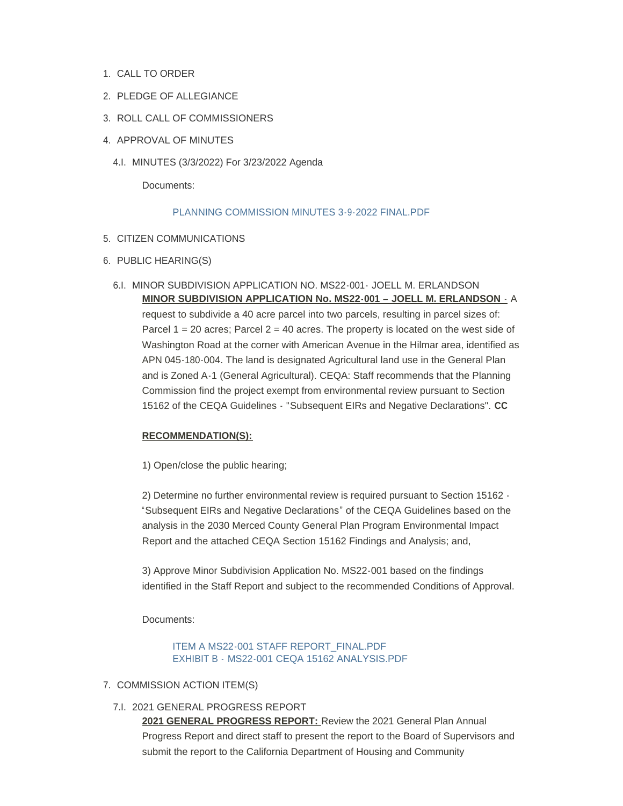- 1. CALL TO ORDER
- 2. PLEDGE OF ALLEGIANCE
- 3. ROLL CALL OF COMMISSIONERS
- 4. APPROVAL OF MINUTES
	- MINUTES (3/3/2022) For 3/23/2022 Agenda 4.I.

Documents:

## [PLANNING COMMISSION MINUTES 3-9-2022 FINAL.PDF](https://www.countyofmerced.com/AgendaCenter/ViewFile/Item/1797?fileID=20627)

- 5. CITIZEN COMMUNICATIONS
- 6. PUBLIC HEARING(S)
	- 6.I. MINOR SUBDIVISION APPLICATION NO. MS22-001- JOELL M. ERLANDSON **MINOR SUBDIVISION APPLICATION No. MS22-001 – JOELL M. ERLANDSON** - A request to subdivide a 40 acre parcel into two parcels, resulting in parcel sizes of: Parcel  $1 = 20$  acres; Parcel  $2 = 40$  acres. The property is located on the west side of Washington Road at the corner with American Avenue in the Hilmar area, identified as APN 045-180-004. The land is designated Agricultural land use in the General Plan and is Zoned A-1 (General Agricultural). CEQA: Staff recommends that the Planning Commission find the project exempt from environmental review pursuant to Section 15162 of the CEQA Guidelines - "Subsequent EIRs and Negative Declarations". **CC**

## **RECOMMENDATION(S):**

1) Open/close the public hearing;

2) Determine no further environmental review is required pursuant to Section 15162 - "Subsequent EIRs and Negative Declarations" of the CEQA Guidelines based on the analysis in the 2030 Merced County General Plan Program Environmental Impact Report and the attached CEQA Section 15162 Findings and Analysis; and,

3) Approve Minor Subdivision Application No. MS22-001 based on the findings identified in the Staff Report and subject to the recommended Conditions of Approval.

Documents:

[ITEM A MS22-001 STAFF REPORT\\_FINAL.PDF](https://www.countyofmerced.com/AgendaCenter/ViewFile/Item/1798?fileID=20628) EXHIBIT B - [MS22-001 CEQA 15162 ANALYSIS.PDF](https://www.countyofmerced.com/AgendaCenter/ViewFile/Item/1798?fileID=20629)

- 7. COMMISSION ACTION ITEM(S)
	- 7.I. 2021 GENERAL PROGRESS REPORT

**2021 GENERAL PROGRESS REPORT:** Review the 2021 General Plan Annual Progress Report and direct staff to present the report to the Board of Supervisors and submit the report to the California Department of Housing and Community